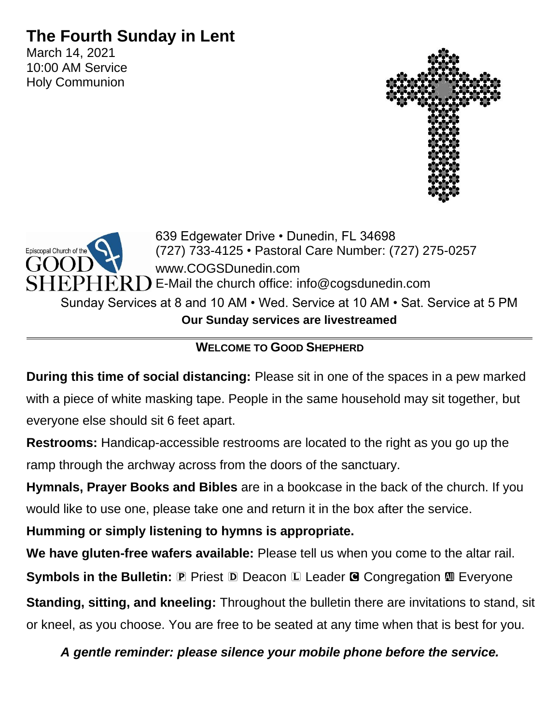# **The Fourth Sunday in Lent**

March 14, 2021 10:00 AM Service Holy Communion





## **WELCOME TO GOOD SHEPHERD**

**During this time of social distancing:** Please sit in one of the spaces in a pew marked with a piece of white masking tape. People in the same household may sit together, but everyone else should sit 6 feet apart.

**Restrooms:** Handicap-accessible restrooms are located to the right as you go up the ramp through the archway across from the doors of the sanctuary.

**Hymnals, Prayer Books and Bibles** are in a bookcase in the back of the church. If you would like to use one, please take one and return it in the box after the service.

**Humming or simply listening to hymns is appropriate.**

**We have gluten-free wafers available:** Please tell us when you come to the altar rail.

**Symbols in the Bulletin: P Priest D Deacon L Leader G Congregation M Everyone** 

**Standing, sitting, and kneeling:** Throughout the bulletin there are invitations to stand, sit or kneel, as you choose. You are free to be seated at any time when that is best for you.

*A gentle reminder: please silence your mobile phone before the service.*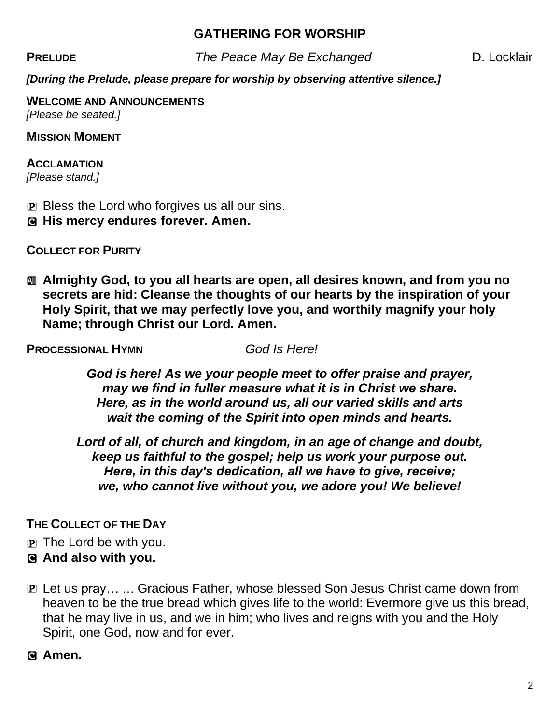## **GATHERING FOR WORSHIP**

**PRELUDE** The Peace May Be Exchanged D. Locklair

*[During the Prelude, please prepare for worship by observing attentive silence.]*

**WELCOME AND ANNOUNCEMENTS** *[Please be seated.]*

**MISSION MOMENT**

## **ACCLAMATION**

*[Please stand.]*

- P Bless the Lord who forgives us all our sins.
- C **His mercy endures forever. Amen.**

**COLLECT FOR PURITY**

a **Almighty God, to you all hearts are open, all desires known, and from you no secrets are hid: Cleanse the thoughts of our hearts by the inspiration of your Holy Spirit, that we may perfectly love you, and worthily magnify your holy Name; through Christ our Lord. Amen.**

**PROCESSIONAL HYMN** *God Is Here!*

*God is here! As we your people meet to offer praise and prayer, may we find in fuller measure what it is in Christ we share. Here, as in the world around us, all our varied skills and arts wait the coming of the Spirit into open minds and hearts.*

*Lord of all, of church and kingdom, in an age of change and doubt, keep us faithful to the gospel; help us work your purpose out. Here, in this day's dedication, all we have to give, receive; we, who cannot live without you, we adore you! We believe!*

## **THE COLLECT OF THE DAY**

- P The Lord be with you.
- C **And also with you.**
- P Let us pray… … Gracious Father, whose blessed Son Jesus Christ came down from heaven to be the true bread which gives life to the world: Evermore give us this bread, that he may live in us, and we in him; who lives and reigns with you and the Holy Spirit, one God, now and for ever.

C **Amen.**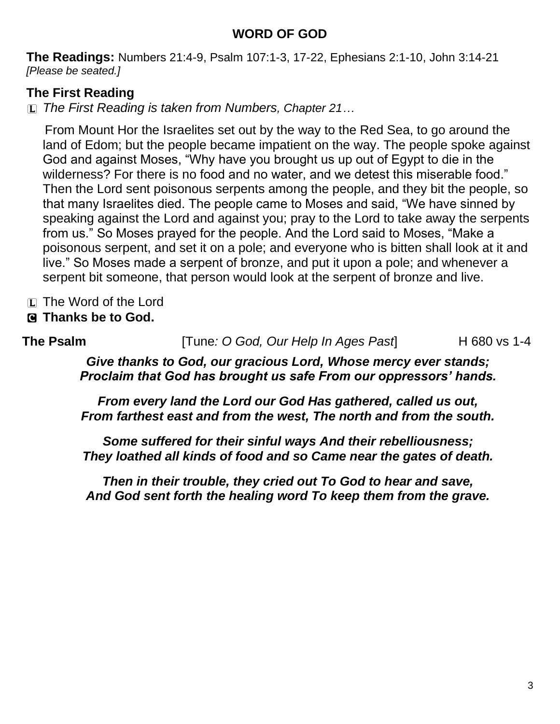## **WORD OF GOD**

**The Readings:** Numbers 21:4-9, Psalm 107:1-3, 17-22, Ephesians 2:1-10, John 3:14-21 *[Please be seated.]*

## **The First Reading**

L *The First Reading is taken from Numbers, Chapter 21…*

From Mount Hor the Israelites set out by the way to the Red Sea, to go around the land of Edom; but the people became impatient on the way. The people spoke against God and against Moses, "Why have you brought us up out of Egypt to die in the wilderness? For there is no food and no water, and we detest this miserable food." Then the Lord sent poisonous serpents among the people, and they bit the people, so that many Israelites died. The people came to Moses and said, "We have sinned by speaking against the Lord and against you; pray to the Lord to take away the serpents from us." So Moses prayed for the people. And the Lord said to Moses, "Make a poisonous serpent, and set it on a pole; and everyone who is bitten shall look at it and live." So Moses made a serpent of bronze, and put it upon a pole; and whenever a serpent bit someone, that person would look at the serpent of bronze and live.

- L The Word of the Lord
- C **Thanks be to God.**

**The Psalm** [Tune: *O God, Our Help In Ages Past*] H 680 vs 1-4

*Give thanks to God, our gracious Lord, Whose mercy ever stands; Proclaim that God has brought us safe From our oppressors' hands.*

*From every land the Lord our God Has gathered, called us out, From farthest east and from the west, The north and from the south.*

*Some suffered for their sinful ways And their rebelliousness; They loathed all kinds of food and so Came near the gates of death.*

*Then in their trouble, they cried out To God to hear and save, And God sent forth the healing word To keep them from the grave.*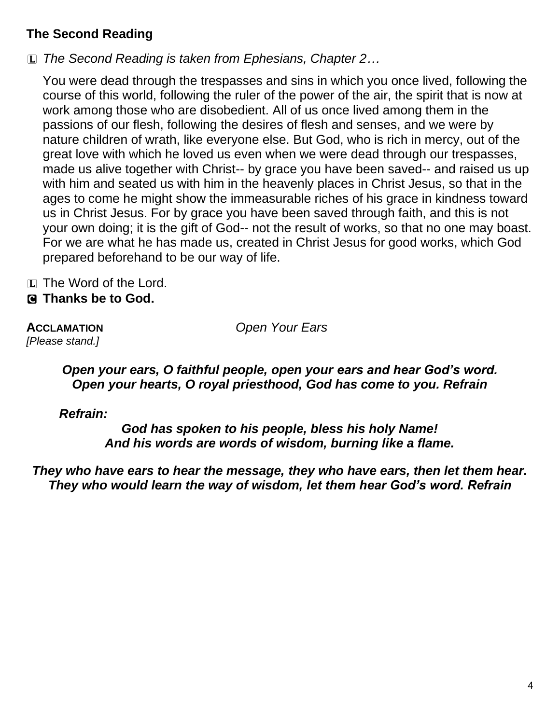## **The Second Reading**

L *The Second Reading is taken from Ephesians, Chapter 2…*

You were dead through the trespasses and sins in which you once lived, following the course of this world, following the ruler of the power of the air, the spirit that is now at work among those who are disobedient. All of us once lived among them in the passions of our flesh, following the desires of flesh and senses, and we were by nature children of wrath, like everyone else. But God, who is rich in mercy, out of the great love with which he loved us even when we were dead through our trespasses, made us alive together with Christ-- by grace you have been saved-- and raised us up with him and seated us with him in the heavenly places in Christ Jesus, so that in the ages to come he might show the immeasurable riches of his grace in kindness toward us in Christ Jesus. For by grace you have been saved through faith, and this is not your own doing; it is the gift of God-- not the result of works, so that no one may boast. For we are what he has made us, created in Christ Jesus for good works, which God prepared beforehand to be our way of life.

L The Word of the Lord.

## C **Thanks be to God.**

*[Please stand.]*

**ACCLAMATION** *Open Your Ears*

#### *Open your ears, O faithful people, open your ears and hear God's word. Open your hearts, O royal priesthood, God has come to you. Refrain*

*Refrain:*

*God has spoken to his people, bless his holy Name! And his words are words of wisdom, burning like a flame.*

*They who have ears to hear the message, they who have ears, then let them hear. They who would learn the way of wisdom, let them hear God's word. Refrain*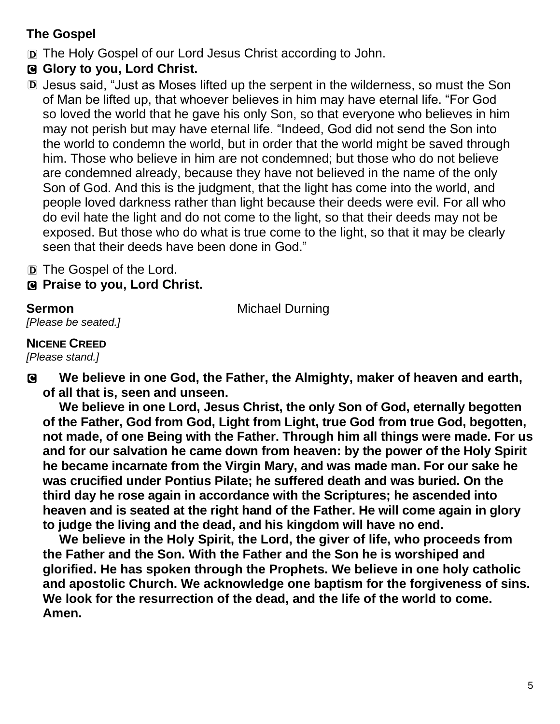## **The Gospel**

- D The Holy Gospel of our Lord Jesus Christ according to John.
- C **Glory to you, Lord Christ.**
- D Jesus said, "Just as Moses lifted up the serpent in the wilderness, so must the Son of Man be lifted up, that whoever believes in him may have eternal life. "For God so loved the world that he gave his only Son, so that everyone who believes in him may not perish but may have eternal life. "Indeed, God did not send the Son into the world to condemn the world, but in order that the world might be saved through him. Those who believe in him are not condemned; but those who do not believe are condemned already, because they have not believed in the name of the only Son of God. And this is the judgment, that the light has come into the world, and people loved darkness rather than light because their deeds were evil. For all who do evil hate the light and do not come to the light, so that their deeds may not be exposed. But those who do what is true come to the light, so that it may be clearly seen that their deeds have been done in God."
- D The Gospel of the Lord.
- C **Praise to you, Lord Christ.**

**Sermon** Michael Durning

## *[Please be seated.]* **NICENE CREED**

*[Please stand.]*

C **We believe in one God, the Father, the Almighty, maker of heaven and earth, of all that is, seen and unseen.**

**We believe in one Lord, Jesus Christ, the only Son of God, eternally begotten of the Father, God from God, Light from Light, true God from true God, begotten, not made, of one Being with the Father. Through him all things were made. For us and for our salvation he came down from heaven: by the power of the Holy Spirit he became incarnate from the Virgin Mary, and was made man. For our sake he was crucified under Pontius Pilate; he suffered death and was buried. On the third day he rose again in accordance with the Scriptures; he ascended into heaven and is seated at the right hand of the Father. He will come again in glory to judge the living and the dead, and his kingdom will have no end.**

**We believe in the Holy Spirit, the Lord, the giver of life, who proceeds from the Father and the Son. With the Father and the Son he is worshiped and glorified. He has spoken through the Prophets. We believe in one holy catholic and apostolic Church. We acknowledge one baptism for the forgiveness of sins. We look for the resurrection of the dead, and the life of the world to come. Amen.**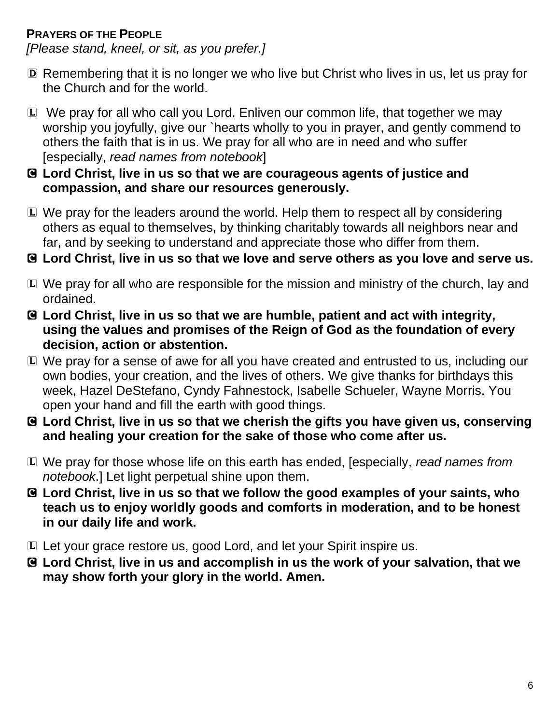## **PRAYERS OF THE PEOPLE**

*[Please stand, kneel, or sit, as you prefer.]*

- D Remembering that it is no longer we who live but Christ who lives in us, let us pray for the Church and for the world.
- L We pray for all who call you Lord. Enliven our common life, that together we may worship you joyfully, give our `hearts wholly to you in prayer, and gently commend to others the faith that is in us. We pray for all who are in need and who suffer [especially, *read names from notebook*]
- C **Lord Christ, live in us so that we are courageous agents of justice and compassion, and share our resources generously.**
- L We pray for the leaders around the world. Help them to respect all by considering others as equal to themselves, by thinking charitably towards all neighbors near and far, and by seeking to understand and appreciate those who differ from them.
- C **Lord Christ, live in us so that we love and serve others as you love and serve us.**
- L We pray for all who are responsible for the mission and ministry of the church, lay and ordained.
- C **Lord Christ, live in us so that we are humble, patient and act with integrity, using the values and promises of the Reign of God as the foundation of every decision, action or abstention.**
- L We pray for a sense of awe for all you have created and entrusted to us, including our own bodies, your creation, and the lives of others. We give thanks for birthdays this week, Hazel DeStefano, Cyndy Fahnestock, Isabelle Schueler, Wayne Morris. You open your hand and fill the earth with good things.
- C **Lord Christ, live in us so that we cherish the gifts you have given us, conserving and healing your creation for the sake of those who come after us.**
- L We pray for those whose life on this earth has ended, [especially, *read names from notebook*.] Let light perpetual shine upon them.
- C **Lord Christ, live in us so that we follow the good examples of your saints, who teach us to enjoy worldly goods and comforts in moderation, and to be honest in our daily life and work.**
- L Let your grace restore us, good Lord, and let your Spirit inspire us.
- C **Lord Christ, live in us and accomplish in us the work of your salvation, that we may show forth your glory in the world. Amen.**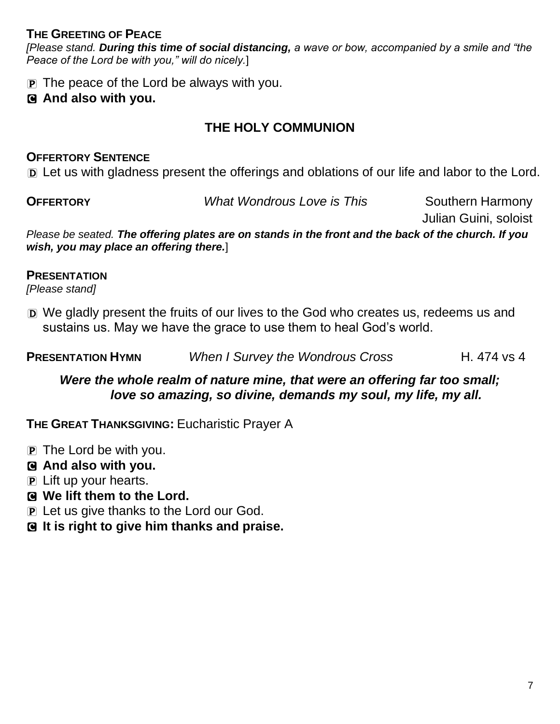#### **THE GREETING OF PEACE**

*[Please stand. During this time of social distancing, a wave or bow, accompanied by a smile and "the Peace of the Lord be with you," will do nicely.*]

 $\overline{p}$  The peace of the Lord be always with you.

### C **And also with you.**

## **THE HOLY COMMUNION**

#### **OFFERTORY SENTENCE**

D Let us with gladness present the offerings and oblations of our life and labor to the Lord.

**OFFERTORY** *What Wondrous Love is This* Southern Harmony

Julian Guini, soloist

*Please be seated. The offering plates are on stands in the front and the back of the church. If you wish, you may place an offering there.*]

#### **PRESENTATION**

*[Please stand]*

D We gladly present the fruits of our lives to the God who creates us, redeems us and sustains us. May we have the grace to use them to heal God's world.

**PRESENTATION HYMN** *When I Survey the Wondrous Cross* **H. 474 vs 4** 

*Were the whole realm of nature mine, that were an offering far too small; love so amazing, so divine, demands my soul, my life, my all.*

**THE GREAT THANKSGIVING:** Eucharistic Prayer A

- $\mathbf{P}$  The Lord be with you.
- C **And also with you.**
- P Lift up your hearts.
- C **We lift them to the Lord.**
- P Let us give thanks to the Lord our God.
- C **It is right to give him thanks and praise.**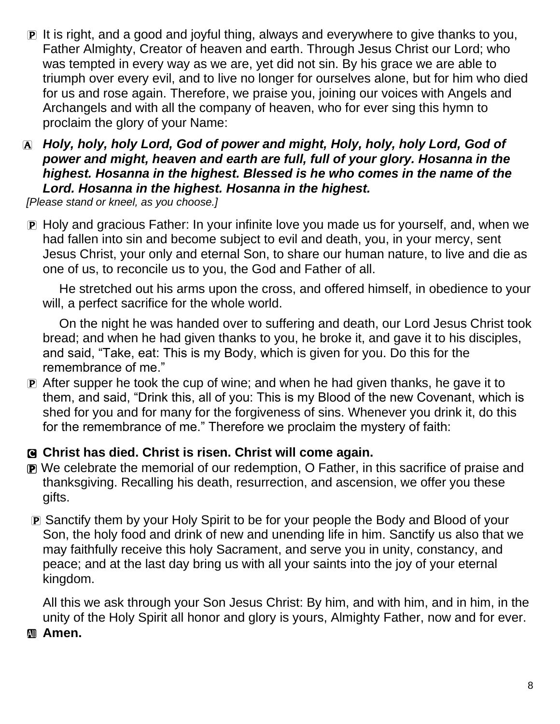- P It is right, and a good and joyful thing, always and everywhere to give thanks to you, Father Almighty, Creator of heaven and earth. Through Jesus Christ our Lord; who was tempted in every way as we are, yet did not sin. By his grace we are able to triumph over every evil, and to live no longer for ourselves alone, but for him who died for us and rose again. Therefore, we praise you, joining our voices with Angels and Archangels and with all the company of heaven, who for ever sing this hymn to proclaim the glory of your Name:
- A *Holy, holy, holy Lord, God of power and might, Holy, holy, holy Lord, God of power and might, heaven and earth are full, full of your glory. Hosanna in the highest. Hosanna in the highest. Blessed is he who comes in the name of the Lord. Hosanna in the highest. Hosanna in the highest.*

*[Please stand or kneel, as you choose.]*

**P** Holy and gracious Father: In your infinite love you made us for yourself, and, when we had fallen into sin and become subject to evil and death, you, in your mercy, sent Jesus Christ, your only and eternal Son, to share our human nature, to live and die as one of us, to reconcile us to you, the God and Father of all.

He stretched out his arms upon the cross, and offered himself, in obedience to your will, a perfect sacrifice for the whole world.

On the night he was handed over to suffering and death, our Lord Jesus Christ took bread; and when he had given thanks to you, he broke it, and gave it to his disciples, and said, "Take, eat: This is my Body, which is given for you. Do this for the remembrance of me."

P After supper he took the cup of wine; and when he had given thanks, he gave it to them, and said, "Drink this, all of you: This is my Blood of the new Covenant, which is shed for you and for many for the forgiveness of sins. Whenever you drink it, do this for the remembrance of me." Therefore we proclaim the mystery of faith:

#### C **Christ has died. Christ is risen. Christ will come again.**

- P We celebrate the memorial of our redemption, O Father, in this sacrifice of praise and thanksgiving. Recalling his death, resurrection, and ascension, we offer you these gifts.
- P Sanctify them by your Holy Spirit to be for your people the Body and Blood of your Son, the holy food and drink of new and unending life in him. Sanctify us also that we may faithfully receive this holy Sacrament, and serve you in unity, constancy, and peace; and at the last day bring us with all your saints into the joy of your eternal kingdom.

All this we ask through your Son Jesus Christ: By him, and with him, and in him, in the unity of the Holy Spirit all honor and glory is yours, Almighty Father, now and for ever. **Amen.**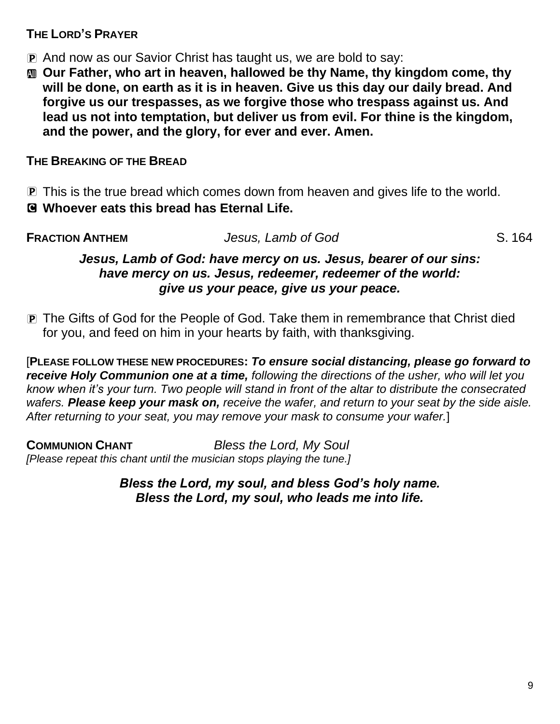### **THE LORD'S PRAYER**

- P And now as our Savior Christ has taught us, we are bold to say:
- $\mathbf{m}$  **Our Father, who art in heaven, hallowed be thy Name, thy kingdom come, thy will be done, on earth as it is in heaven. Give us this day our daily bread. And forgive us our trespasses, as we forgive those who trespass against us. And lead us not into temptation, but deliver us from evil. For thine is the kingdom, and the power, and the glory, for ever and ever. Amen.**

## **THE BREAKING OF THE BREAD**

P This is the true bread which comes down from heaven and gives life to the world.

## C **Whoever eats this bread has Eternal Life.**

**FRACTION ANTHEM** *Jesus, Lamb of God* S. 164

### *Jesus, Lamb of God: have mercy on us. Jesus, bearer of our sins: have mercy on us. Jesus, redeemer, redeemer of the world: give us your peace, give us your peace.*

P The Gifts of God for the People of God. Take them in remembrance that Christ died for you, and feed on him in your hearts by faith, with thanksgiving.

[**PLEASE FOLLOW THESE NEW PROCEDURES:** *To ensure social distancing, please go forward to receive Holy Communion one at a time, following the directions of the usher, who will let you know when it's your turn. Two people will stand in front of the altar to distribute the consecrated wafers. Please keep your mask on, receive the wafer, and return to your seat by the side aisle. After returning to your seat, you may remove your mask to consume your wafer.*]

**COMMUNION CHANT** *Bless the Lord, My Soul [Please repeat this chant until the musician stops playing the tune.]*

> *Bless the Lord, my soul, and bless God's holy name. Bless the Lord, my soul, who leads me into life.*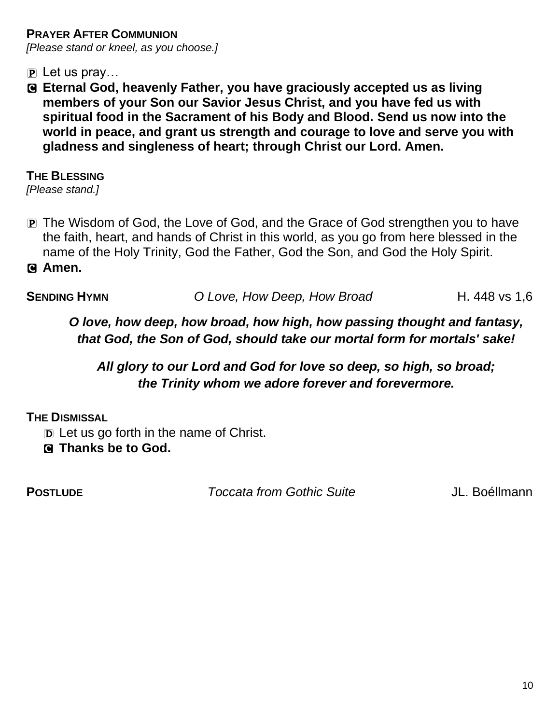**PRAYER AFTER COMMUNION** *[Please stand or kneel, as you choose.]*

 $\mathbf{P}$  Let us pray...

C **Eternal God, heavenly Father, you have graciously accepted us as living members of your Son our Savior Jesus Christ, and you have fed us with spiritual food in the Sacrament of his Body and Blood. Send us now into the world in peace, and grant us strength and courage to love and serve you with gladness and singleness of heart; through Christ our Lord. Amen.**

**THE BLESSING**

*[Please stand.]*

P The Wisdom of God, the Love of God, and the Grace of God strengthen you to have the faith, heart, and hands of Christ in this world, as you go from here blessed in the name of the Holy Trinity, God the Father, God the Son, and God the Holy Spirit.

C **Amen.**

**SENDING HYMN** *O Love, How Deep, How Broad* **H. 448 vs 1,6** 

*O love, how deep, how broad, how high, how passing thought and fantasy, that God, the Son of God, should take our mortal form for mortals' sake!* 

*All glory to our Lord and God for love so deep, so high, so broad; the Trinity whom we adore forever and forevermore.*

**THE DISMISSAL** 

D Let us go forth in the name of Christ.

C **Thanks be to God.** 

**POSTLUDE** *Toccata from Gothic Suite* JL. Boéllmann